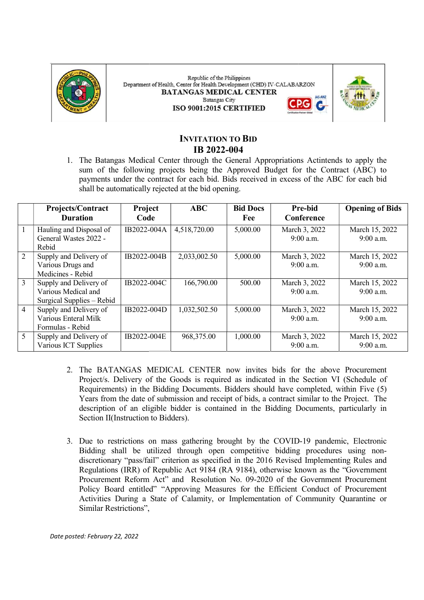

Republic of the Philippines Department of Health, Center for Health Development (CHD) IV-CALABARZON **BATANGAS MEDICAL CENTER Batangas City** ISO 9001:2015 CERTIFIED



# INVITATION TO BID IB 2022-004

|                | Projects/Contract<br><b>Duration</b>                                       | Project<br>Code                     | <b>ABC</b>   | <b>Bid Docs</b><br>Fee | Pre-bid<br>Conference                                                                                                                                                                                                                                                                                                                                                                                                                                                                                                                                 | <b>Opening of Bids</b>      |
|----------------|----------------------------------------------------------------------------|-------------------------------------|--------------|------------------------|-------------------------------------------------------------------------------------------------------------------------------------------------------------------------------------------------------------------------------------------------------------------------------------------------------------------------------------------------------------------------------------------------------------------------------------------------------------------------------------------------------------------------------------------------------|-----------------------------|
|                | Hauling and Disposal of<br>General Wastes 2022 -<br>Rebid                  | $\overline{IB2022\text{-}004}$ A    | 4,518,720.00 | 5,000.00               | March 3, 2022<br>$9:00$ a.m.                                                                                                                                                                                                                                                                                                                                                                                                                                                                                                                          | March 15, 2022<br>9:00 a.m. |
| 2              | Supply and Delivery of<br>Various Drugs and<br>Medicines - Rebid           | IB2022-004B                         | 2,033,002.50 | 5,000.00               | March 3, 2022<br>9:00 a.m.                                                                                                                                                                                                                                                                                                                                                                                                                                                                                                                            | March 15, 2022<br>9:00 a.m. |
| $\overline{3}$ | Supply and Delivery of<br>Various Medical and<br>Surgical Supplies - Rebid | IB2022-004C                         | 166,790.00   | 500.00                 | March 3, 2022<br>9:00 a.m.                                                                                                                                                                                                                                                                                                                                                                                                                                                                                                                            | March 15, 2022<br>9:00 a.m. |
| $\overline{4}$ | Supply and Delivery of<br>Various Enteral Milk<br>Formulas - Rebid         | IB2022-004D                         | 1,032,502.50 | 5,000.00               | March 3, 2022<br>9:00 a.m.                                                                                                                                                                                                                                                                                                                                                                                                                                                                                                                            | March 15, 2022<br>9:00 a.m. |
| 5              | Supply and Delivery of<br>Various ICT Supplies                             | IB2022-004E                         | 968,375.00   | 1,000.00               | March 3, 2022<br>9:00 a.m.                                                                                                                                                                                                                                                                                                                                                                                                                                                                                                                            | March 15, 2022<br>9:00 a.m. |
|                |                                                                            | Section II(Instruction to Bidders). |              |                        | 2. The BATANGAS MEDICAL CENTER now invites bids for the above Procurement<br>Project/s. Delivery of the Goods is required as indicated in the Section VI (Schedule of<br>Requirements) in the Bidding Documents. Bidders should have completed, within Five (5)<br>Years from the date of submission and receipt of bids, a contract similar to the Project. The<br>description of an eligible bidder is contained in the Bidding Documents, particularly in<br>3. Due to restrictions on mass gathering brought by the COVID-19 pandemic, Electronic |                             |
|                |                                                                            |                                     |              |                        | Bidding shall be utilized through open competitive bidding procedures using non-<br>discretionary "pass/fail" criterion as specified in the 2016 Revised Implementing Rules and<br>Regulations (IRR) of Republic Act 9184 (RA 9184), otherwise known as the "Government"<br>Procurement Reform Act" and Resolution No. 09-2020 of the Government Procurement<br>Policy Board entitled" "Approving Measures for the Efficient Conduct of Procurement<br>Activities During a State of Calamity, or Implementation of Community Quarantine or            |                             |

- 2. The BATANGAS MEDICAL CENTER now invites bids for the above Procurement The BATANGAS MEDICAL CENTER now invites bids for the above Procurement Project/s. Delivery of the Goods is required as indicated in the Section VI (Schedule of Requirements) in the Bidding Documents. Bidders should have completed, within Five (5) Years from the date of submission and receipt of bids, a contract similar to the Project. The description of an eligible bidder is contained in the Bidding Documents, parti description of an eligible bidder is contained in the Bidding Documents, particularly in Section II(Instruction to Bidders).
- 3. Due to restrictions on mass gathering brought by the COVID-19 pandemic, Electronic Bidding shall be utilized through open competitive bidding procedures using nondiscretionary "pass/fail" criterion as specified in the 2016 Revised Implementing Rules and discretionary "pass/fail" criterion as specified in the 2016 Revised Implementing Rules and Regulations (IRR) of Republic Act 9184 (RA 9184), otherwise known as the "Go Regulations (IRR) of Republic Act 9184 (RA 9184), otherwise known as the "Government Regulations (IRR) of Republic Act 9184 (RA 9184), otherwise known as the "Government<br>Procurement Reform Act" and Resolution No. 09-2020 of the Government Procurement Policy Board entitled" "Approving Measures for the Efficient Conduct of Procurement Policy Board entitled" "Approving Measures for the Efficient Conduct of Procurement Activities During a State of Calamity, or Implementation of Community Quarantine or Activities During a State of Calamity, or Implementation of Community Quarantine or Similar Restrictions",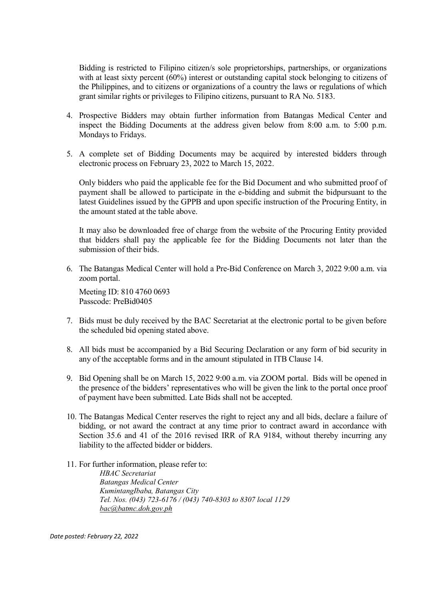Bidding is restricted to Filipino citizen/s sole proprietorships, partnerships, or organizations with at least sixty percent (60%) interest or outstanding capital stock belonging to citizens of the Philippines, and to citizens or organizations of a country the laws or regulations of which grant similar rights or privileges to Filipino citizens, pursuant to RA No. 5183.

- 4. Prospective Bidders may obtain further information from Batangas Medical Center and inspect the Bidding Documents at the address given below from 8:00 a.m. to 5:00 p.m. Mondays to Fridays.
- 5. A complete set of Bidding Documents may be acquired by interested bidders through electronic process on February 23, 2022 to March 15, 2022.

Only bidders who paid the applicable fee for the Bid Document and who submitted proof of payment shall be allowed to participate in the e-bidding and submit the bidpursuant to the latest Guidelines issued by the GPPB and upon specific instruction of the Procuring Entity, in the amount stated at the table above.

It may also be downloaded free of charge from the website of the Procuring Entity provided that bidders shall pay the applicable fee for the Bidding Documents not later than the submission of their bids.

6. The Batangas Medical Center will hold a Pre-Bid Conference on March 3, 2022 9:00 a.m. via zoom portal.

Meeting ID: 810 4760 0693 Passcode: PreBid0405

- 7. Bids must be duly received by the BAC Secretariat at the electronic portal to be given before the scheduled bid opening stated above.
- 8. All bids must be accompanied by a Bid Securing Declaration or any form of bid security in any of the acceptable forms and in the amount stipulated in ITB Clause 14.
- 9. Bid Opening shall be on March 15, 2022 9:00 a.m. via ZOOM portal. Bids will be opened in the presence of the bidders' representatives who will be given the link to the portal once proof of payment have been submitted. Late Bids shall not be accepted.
- 10. The Batangas Medical Center reserves the right to reject any and all bids, declare a failure of bidding, or not award the contract at any time prior to contract award in accordance with Section 35.6 and 41 of the 2016 revised IRR of RA 9184, without thereby incurring any liability to the affected bidder or bidders.
- 11. For further information, please refer to:

HBAC Secretariat Batangas Medical Center KumintangIbaba, Batangas City Tel. Nos. (043) 723-6176 / (043) 740-8303 to 8307 local 1129 bac@batmc.doh.gov.ph

Date posted: February 22, 2022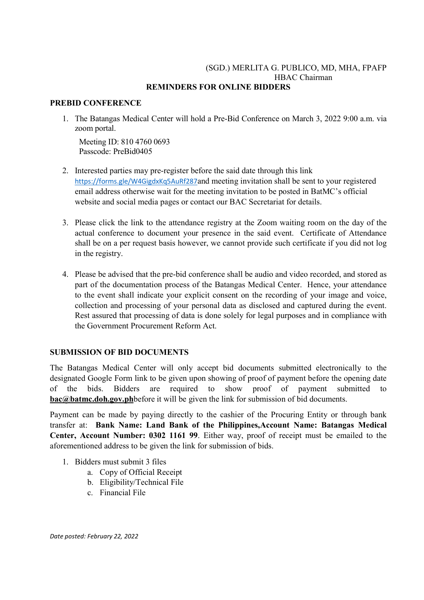## (SGD.) MERLITA G. PUBLICO, MD, MHA, FPAFP HBAC Chairman REMINDERS FOR ONLINE BIDDERS

### PREBID CONFERENCE

1. The Batangas Medical Center will hold a Pre-Bid Conference on March 3, 2022 9:00 a.m. via zoom portal.

Meeting ID: 810 4760 0693 Passcode: PreBid0405

- 2. Interested parties may pre-register before the said date through this link https://forms.gle/W4GigdxKq5AuRf287and meeting invitation shall be sent to your registered email address otherwise wait for the meeting invitation to be posted in BatMC's official website and social media pages or contact our BAC Secretariat for details.
- 3. Please click the link to the attendance registry at the Zoom waiting room on the day of the actual conference to document your presence in the said event. Certificate of Attendance shall be on a per request basis however, we cannot provide such certificate if you did not log in the registry.
- 4. Please be advised that the pre-bid conference shall be audio and video recorded, and stored as part of the documentation process of the Batangas Medical Center. Hence, your attendance to the event shall indicate your explicit consent on the recording of your image and voice, collection and processing of your personal data as disclosed and captured during the event. Rest assured that processing of data is done solely for legal purposes and in compliance with the Government Procurement Reform Act.

### SUBMISSION OF BID DOCUMENTS

The Batangas Medical Center will only accept bid documents submitted electronically to the designated Google Form link to be given upon showing of proof of payment before the opening date of the bids. Bidders are required to show proof of payment submitted to bac@batmc.doh.gov.phbefore it will be given the link for submission of bid documents.

Payment can be made by paying directly to the cashier of the Procuring Entity or through bank transfer at: Bank Name: Land Bank of the Philippines,Account Name: Batangas Medical Center, Account Number: 0302 1161 99. Either way, proof of receipt must be emailed to the aforementioned address to be given the link for submission of bids.

- 1. Bidders must submit 3 files
	- a. Copy of Official Receipt
	- b. Eligibility/Technical File
	- c. Financial File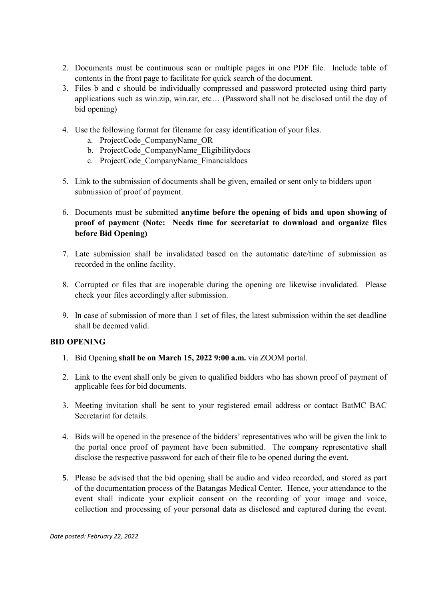- 2. Documents must be continuous scan or multiple pages in one PDF file. Include table of contents in the front page to facilitate for quick search of the document.
- 3. Files b and c should be individually compressed and password protected using third party applications such as win.zip, win.rar, etc… (Password shall not be disclosed until the day of bid opening)
- 4. Use the following format for filename for easy identification of your files.
	- a. ProjectCode\_CompanyName\_OR
	- b. ProjectCode\_CompanyName\_Eligibilitydocs
	- c. ProjectCode\_CompanyName\_Financialdocs
- 5. Link to the submission of documents shall be given, emailed or sent only to bidders upon submission of proof of payment.
- 6. Documents must be submitted anytime before the opening of bids and upon showing of proof of payment (Note: Needs time for secretariat to download and organize files before Bid Opening)
- 7. Late submission shall be invalidated based on the automatic date/time of submission as recorded in the online facility.
- 8. Corrupted or files that are inoperable during the opening are likewise invalidated. Please check your files accordingly after submission.
- 9. In case of submission of more than 1 set of files, the latest submission within the set deadline shall be deemed valid.

## BID OPENING

- 1. Bid Opening shall be on March 15, 2022 9:00 a.m. via ZOOM portal.
- 2. Link to the event shall only be given to qualified bidders who has shown proof of payment of applicable fees for bid documents.
- 3. Meeting invitation shall be sent to your registered email address or contact BatMC BAC Secretariat for details.
- 4. Bids will be opened in the presence of the bidders' representatives who will be given the link to the portal once proof of payment have been submitted. The company representative shall disclose the respective password for each of their file to be opened during the event.
- 5. Please be advised that the bid opening shall be audio and video recorded, and stored as part of the documentation process of the Batangas Medical Center. Hence, your attendance to the event shall indicate your explicit consent on the recording of your image and voice, collection and processing of your personal data as disclosed and captured during the event.